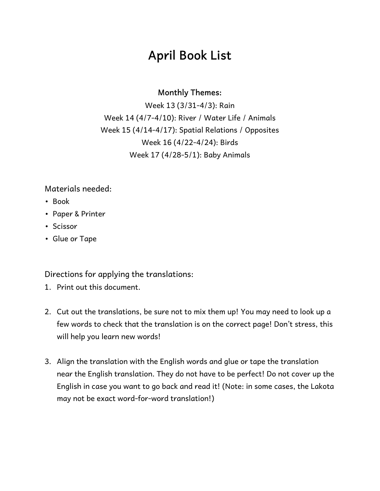## **April Book List**

#### **Monthly Themes:**

Week 13 (3/31-4/3): Rain Week 14 (4/7-4/10): River / Water Life / Animals Week 15 (4/14-4/17): Spatial Relations / Opposites Week 16 (4/22-4/24): Birds Week 17 (4/28-5/1): Baby Animals

#### Materials needed:

- Book
- Paper & Printer
- Scissor
- Glue or Tape

Directions for applying the translations:

- 1. Print out this document.
- 2. Cut out the translations, be sure not to mix them up! You may need to look up a few words to check that the translation is on the correct page! Don't stress, this will help you learn new words!
- 3. Align the translation with the English words and glue or tape the translation near the English translation. They do not have to be perfect! Do not cover up the English in case you want to go back and read it! (Note: in some cases, the Lakota may not be exact word-for-word translation!)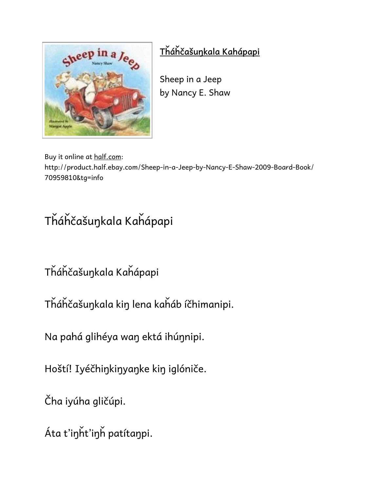

### **Tȟáȟčašuŋkala Kahápapi**

Sheep in a Jeep by Nancy E. Shaw

Buy it online at half.com:

http://product.half.ebay.com/Sheep-in-a-Jeep-by-Nancy-E-Shaw-2009-Board-Book/ 70959810&tg=info

# Tȟáȟčašuŋkala Kaȟápapi

Tȟáȟčašuŋkala Kaȟápapi

Tȟáȟčašuŋkala kiŋ lena kaȟáb íčhimanipi.

Na pahá glihéya waŋ ektá ihúŋnipi.

Hoští! Iyéčhiŋkiŋyaŋke kiŋ iglóniče.

Čha iyúha gličúpi.

Áta t'iŋȟt'iŋȟ patítaŋpi.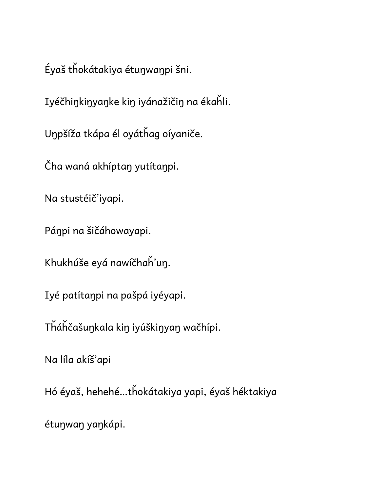Éyaš tȟokátakiya étuŋwaŋpi šni.

Iyéčhiŋkiŋyaŋke kiŋ iyánažičiŋ na ékaȟli.

Uŋpšíža tkápa él oyátȟag oíyaniče.

Čha waná akhíptaŋ yutítaŋpi.

Na stustéič'iyapi.

Páŋpi na šičáhowayapi.

Khukhúše eyá nawíčhaȟ'uŋ.

Iyé patítaŋpi na pašpá iyéyapi.

Tȟáȟčašuŋkala kiŋ iyúškiŋyaŋ wačhípi.

Na líla akíš'api

Hó éyaš, hehehé…tȟokátakiya yapi, éyaš héktakiya

étuŋwaŋ yaŋkápi.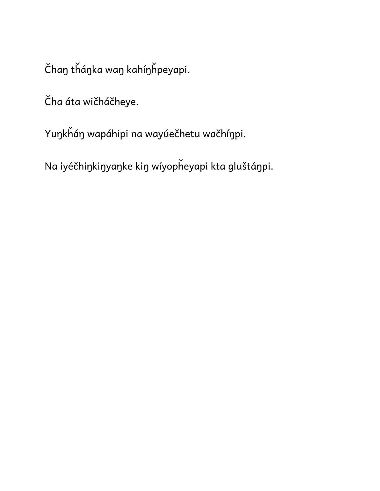Čhaŋ tȟáŋka waŋ kahíŋȟpeyapi.

Čha áta wičháčheye.

Yuŋkȟáŋ wapáhipi na wayúečhetu wačhíŋpi.

Na iyéčhiŋkiŋyaŋke kiŋ wíyopȟeyapi kta gluštáŋpi.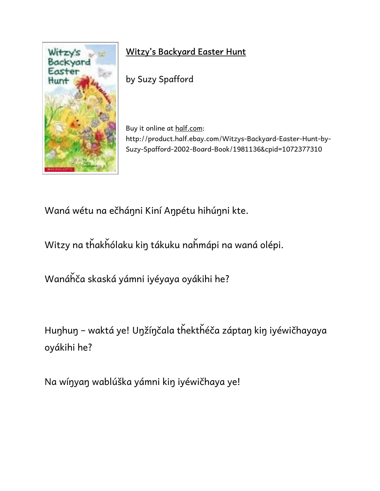

### **Witzy's Backyard Easter Hunt**

by Suzy Spafford

Buy it online at half.com: http://product.half.ebay.com/Witzys-Backyard-Easter-Hunt-by-Suzy-Spafford-2002-Board-Book/1981136&cpid=1072377310

Waná wétu na ečháŋni Kiní Aŋpétu hihúŋni kte.

Witzy na tȟakȟólaku kiŋ tákuku naȟmápi na waná olépi.

Wanáȟča skaská yámni iyéyaya oyákihi he?

Huŋhuŋ – waktá ye! Uŋžíŋčala tȟektȟéča záptaŋ kiŋ iyéwičhayaya oyákihi he?

Na wíŋyaŋ wablúška yámni kiŋ iyéwičhaya ye!